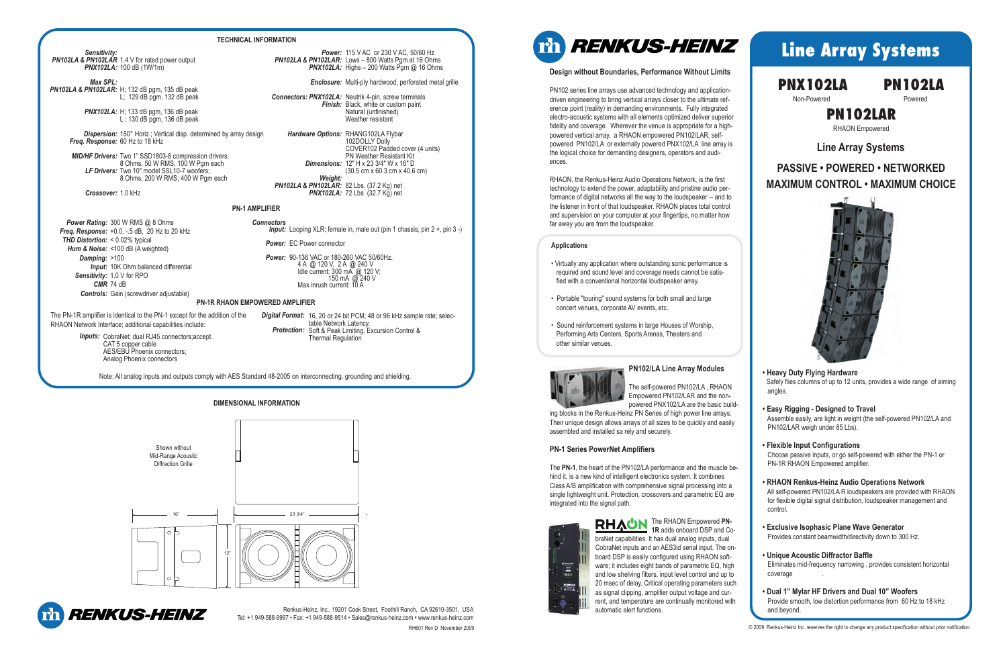### **Design without Boundaries, Performance Without Limits**

PN102 series line arrays use advanced technology and applicationdriven engineering to bring vertical arrays closer to the ultimate reference point (reality) in demanding environments. Fully integrated electro-acoustic systems with all elements optimized deliver superior fidelity and coverage. Wherever the venue is appropriate for a highpowered vertical array, a RHAON empowered PN102/LAR, selfpowered PN102/LA or externally powered PNX102/LA line array is the logical choice for demanding designers, operators and audiences.

RHAON, the Renkus-Heinz Audio Operations Network, is the first technology to extend the power, adaptability and pristine audio performance of digital networks all the way to the loudspeaker -- and to the listener in front of that loudspeaker. RHAON places total control and supervision on your computer at your fingertips, no matter how far away you are from the loudspeaker.

### **PN102/LA Line Array Modules**

The self-powered PN102/LA , RHAON Empowered PN102/LAR and the nonpowered PNX102/LA are the basic build-

### **• Heavy Duty Flying Hardware** Safely flies columns of up to 12 units, provides a wide range of aiming angles.

ing blocks in the Renkus-Heinz PN Series of high power line arrays. Their unique design allows arrays of all sizes to be quickly and easily assembled and installed sa rely and securely.

### **PN-1 Series PowerNet Amplifiers**

The **PN-1**, the heart of the PN102/LA performance and the muscle behind it, is a new kind of intelligent electronics system. It combines Class A/B amplification with comprehensive signal processing into a single lightweight unit. Protection, crossovers and parametric EQ are integrated into the signal path.



The RHAON Empowered **PN-1R** adds onboard DSP and CobraNet capabilities. It has dual analog inputs, dual CobraNet inputs and an AES3id serial input. The onboard DSP is easily configured using RHAON software; it includes eight bands of parametric EQ, high and low shelving filters, input level control and up to 20 msec of delay. Critical operating parameters such as signal clipping, amplifier output voltage and current, and temperature are continually monitored with automatic alert functions.

*MID/HF Drivers:* Two 1" SSD1803-8 compression drivers; *LF Drivers:* Two 10" model SSL10-7 woofers; 8 Ohms, 50 W RMS, 100 W Pgm each 8 Ohms, 200 W RMS; 400 W Pgm each

© 2009 Renkus-Heinz Inc. reserves the right to change any product specification without prior notification.

# **Line Array Systems**

### **Line Array Systems**



Connectors: PNX102LA: Neutrik 4-pin, screw terminals *Finish:* Black, white or custom paint Natural (unfinished) Weather resistant

*Power:* 90-136 VAC or 180-260 VAC 50/60Hz. 4 A @ 120 V, 2 A @ 240 V Idle current: 300 mA @ 120 V; 150 mA @ 240 V Max inrush current: 10 A

## **PASSIVE • POWERED • NETWORKED MAXIMUM CONTROL • MAXIMUM CHOICE**



- **Easy Rigging Designed to Travel** Assemble easily, are light in weight (the self-powered PN102/LA and PN102/LAR weigh under 85 Lbs).
- **Flexible Input Configurations** Choose passive inputs, or go self-powered with either the PN-1 or PN-1R RHAON Empowered amplifier.
- **RHAON Renkus-Heinz Audio Operations Network** All self-powered PN102/LA R loudspeakers are provided with RHAON for flexible digital signal distribution, loudspeaker management and control.
- **Exclusive Isophasic Plane Wave Generator** Provides constant beamwidth/directivity down to 300 Hz.
- **Unique Acoustic Diffractor Baffle** Eliminates mid-frequency narrowing , provides consistent horizontal coverage
- **Dual 1" Mylar HF Drivers and Dual 10" Woofers** Provide smooth, low distortion performance from 60 Hz to 18 kHz and beyond.



### **PN102LAR**

RHAON Empowered

### **Applications**

- Virtually any application where outstanding sonic performance is required and sound level and coverage needs cannot be satisfied with a conventional horizontal loudspeaker array.
- Portable "touring" sound systems for both small and large concert venues, corporate AV events, etc.
- Sound reinforcement systems in large Houses of Worship, Performing Arts Centers, Sports Arenas, Theaters and other similar venues.



Renkus-Heinz, Inc., 19201 Cook Street, Foothill Ranch, CA 92610-3501, USA Tel: +1 949-588-9997 • Fax: +1 949-588-9514 • Sales@renkus-heinz.com **•** www.renkus-heinz.com RH601 Rev D November 2009



*Sensitivity: PN102LA & PN102LAR* 1.4 V for rated power output *PNX102LA:* 100 dB (1W/1m)

*Max SPL: PN102LA & PN102LAR:* H; 132 dB pgm, 135 dB peak L; 129 dB pgm, 132 dB peak

> *PNX102LA:* H; 133 dB pgm, 136 dB peak L ; 130 dB pgm, 136 dB peak

*Dispersion:* 150° Horiz.; Vertical disp. determined by array design *Freq. Response:* 60 Hz to 18 kHz

*Crossover:* 1.0 kHz

*Power:* 115 V AC or 230 V AC, 50/60 Hz *PN102LA & PN102LAR:* Lows – 800 Watts Pgm at 16 Ohms *PNX102LA:* Highs – 200 Watts Pgm @ 16 Ohms

*Enclosure:* Multi-ply hardwood, perforated metal grille

*Hardware Options:* RHANG102LA Flybar *Dimensions:* 12" H x 23 3/4" W x 16" D *Weight:* 102DOLLY Dolly COVER102 Padded cover (4 units) PN Weather Resistant Kit (30.5 cm x 60.3 cm x 40.6 cm)

*PN102LA & PN102LAR:* 82 Lbs. (37.2 Kg) net *PNX102LA:* 72 Lbs (32.7 Kg) net

#### **TECHNICAL INFORMATION**

### **PN-1 AMPLIFIER**

*Power Rating:* 300 W RMS @ 8 Ohms *Freq. Response:* +0.0, -.5 dB, 20 Hz to 20 kHz *THD Distortion:* < 0.02% typical Hum & Noise: <100 dB (A weighted) *Damping:* >100 *Input:* 10K Ohm balanced differential *Sensitivity:* 1.0 V for RPO *CMR* 74 dB

*Controls:* Gain (screwdriver adjustable)

### *Connectors*

*Input:* Looping XLR; female in, male out (pin 1 chassis, pin 2 +, pin 3 -)

*Power:* EC Power connector

Note: All analog inputs and outputs comply with AES Standard 48-2005 on interconnecting, grounding and shielding.

#### **PN-1R RHAON EMPOWERED AMPLIFIER**

The PN-1R amplifier is identical to the PN-1 except for the addition of the RHAON Network Interface; additional capabilities include:

> *Inputs:* CobraNet; dual RJ45 connectors;accept CAT 5 copper cable AES/EBU Phoenix connectors; Analog Phoenix connectors

*Digital Format:* 16, 20 or 24 bit PCM; 48 or 96 kHz sample rate; selec-*Protection:* Soft & Peak Limiting, Excursion Control & table Network Latency. Thermal Regulation

### **DIMENSIONAL INFORMATION**